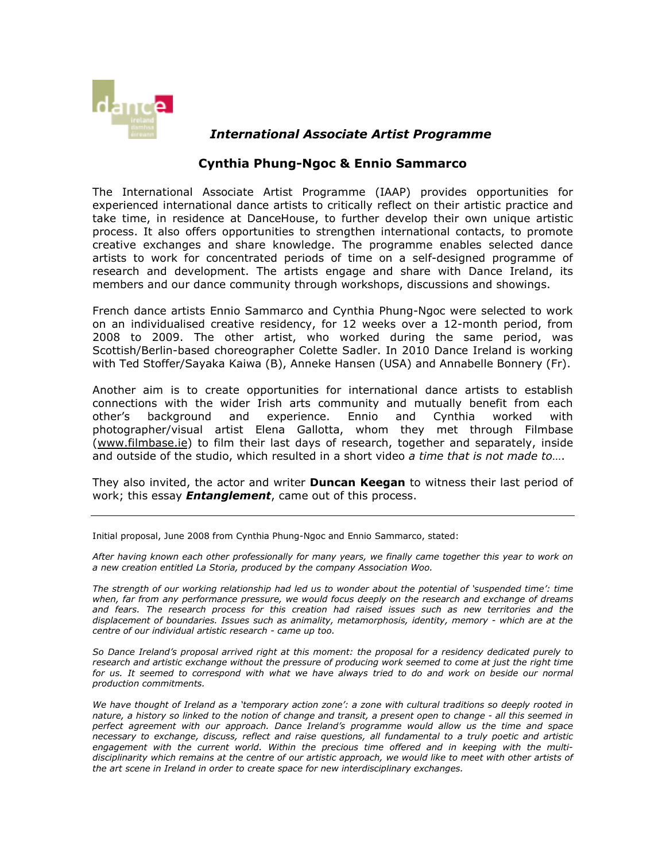

### *International Associate Artist Programme*

## **Cynthia Phung-Ngoc & Ennio Sammarco**

The International Associate Artist Programme (IAAP) provides opportunities for experienced international dance artists to critically reflect on their artistic practice and take time, in residence at DanceHouse, to further develop their own unique artistic process. It also offers opportunities to strengthen international contacts, to promote creative exchanges and share knowledge. The programme enables selected dance artists to work for concentrated periods of time on a self-designed programme of research and development. The artists engage and share with Dance Ireland, its members and our dance community through workshops, discussions and showings.

French dance artists Ennio Sammarco and Cynthia Phung-Ngoc were selected to work on an individualised creative residency, for 12 weeks over a 12-month period, from 2008 to 2009. The other artist, who worked during the same period, was Scottish/Berlin-based choreographer Colette Sadler. In 2010 Dance Ireland is working with Ted Stoffer/Sayaka Kaiwa (B), Anneke Hansen (USA) and Annabelle Bonnery (Fr).

Another aim is to create opportunities for international dance artists to establish connections with the wider Irish arts community and mutually benefit from each other's background and experience. Ennio and Cynthia worked with photographer/visual artist Elena Gallotta, whom they met through Filmbase (www.filmbase.ie) to film their last days of research, together and separately, inside and outside of the studio, which resulted in a short video *a time that is not made to*….

They also invited, the actor and writer **Duncan Keegan** to witness their last period of work; this essay *Entanglement*, came out of this process.

Initial proposal, June 2008 from Cynthia Phung-Ngoc and Ennio Sammarco, stated:

*After having known each other professionally for many years, we finally came together this year to work on a new creation entitled La Storia, produced by the company Association Woo.* 

*The strength of our working relationship had led us to wonder about the potential of 'suspended time': time when, far from any performance pressure, we would focus deeply on the research and exchange of dreams and fears. The research process for this creation had raised issues such as new territories and the displacement of boundaries. Issues such as animality, metamorphosis, identity, memory - which are at the centre of our individual artistic research - came up too.* 

*So Dance Ireland's proposal arrived right at this moment: the proposal for a residency dedicated purely to research and artistic exchange without the pressure of producing work seemed to come at just the right time*  for us. It seemed to correspond with what we have always tried to do and work on beside our normal *production commitments.* 

*We have thought of Ireland as a 'temporary action zone': a zone with cultural traditions so deeply rooted in nature, a history so linked to the notion of change and transit, a present open to change - all this seemed in perfect agreement with our approach. Dance Ireland's programme would allow us the time and space necessary to exchange, discuss, reflect and raise questions, all fundamental to a truly poetic and artistic engagement with the current world. Within the precious time offered and in keeping with the multidisciplinarity which remains at the centre of our artistic approach, we would like to meet with other artists of the art scene in Ireland in order to create space for new interdisciplinary exchanges.*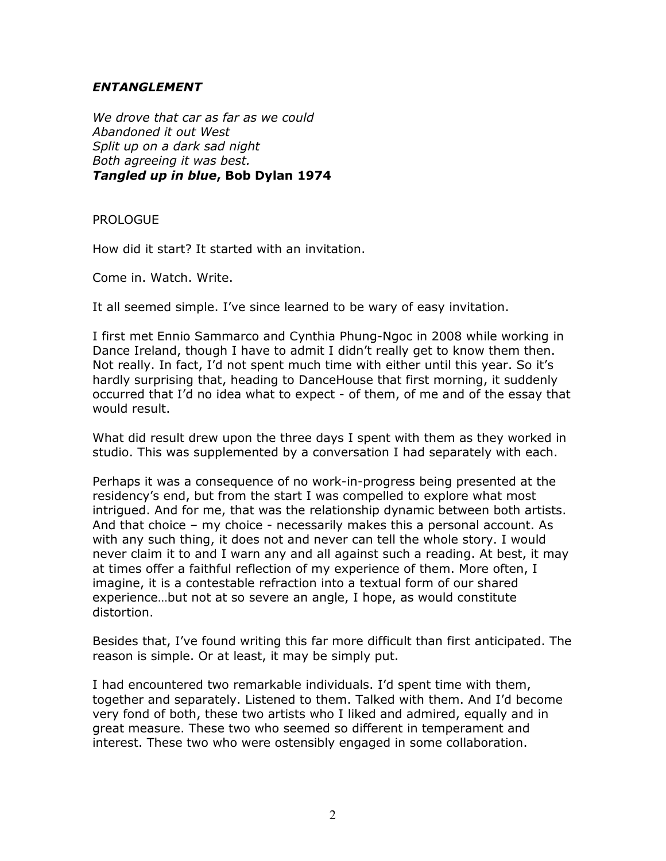# *ENTANGLEMENT*

*We drove that car as far as we could Abandoned it out West Split up on a dark sad night Both agreeing it was best. Tangled up in blue***, Bob Dylan 1974** 

PROLOGUE

How did it start? It started with an invitation.

Come in. Watch. Write.

It all seemed simple. I've since learned to be wary of easy invitation.

I first met Ennio Sammarco and Cynthia Phung-Ngoc in 2008 while working in Dance Ireland, though I have to admit I didn't really get to know them then. Not really. In fact, I'd not spent much time with either until this year. So it's hardly surprising that, heading to DanceHouse that first morning, it suddenly occurred that I'd no idea what to expect - of them, of me and of the essay that would result.

What did result drew upon the three days I spent with them as they worked in studio. This was supplemented by a conversation I had separately with each.

Perhaps it was a consequence of no work-in-progress being presented at the residency's end, but from the start I was compelled to explore what most intrigued. And for me, that was the relationship dynamic between both artists. And that choice – my choice - necessarily makes this a personal account. As with any such thing, it does not and never can tell the whole story. I would never claim it to and I warn any and all against such a reading. At best, it may at times offer a faithful reflection of my experience of them. More often, I imagine, it is a contestable refraction into a textual form of our shared experience…but not at so severe an angle, I hope, as would constitute distortion.

Besides that, I've found writing this far more difficult than first anticipated. The reason is simple. Or at least, it may be simply put.

I had encountered two remarkable individuals. I'd spent time with them, together and separately. Listened to them. Talked with them. And I'd become very fond of both, these two artists who I liked and admired, equally and in great measure. These two who seemed so different in temperament and interest. These two who were ostensibly engaged in some collaboration.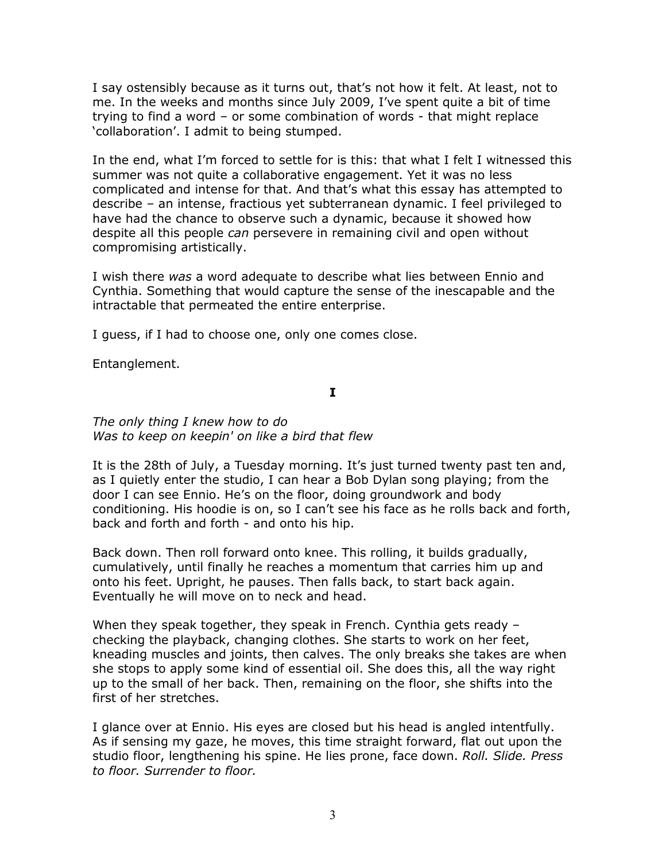I say ostensibly because as it turns out, that's not how it felt. At least, not to me. In the weeks and months since July 2009, I've spent quite a bit of time trying to find a word – or some combination of words - that might replace 'collaboration'. I admit to being stumped.

In the end, what I'm forced to settle for is this: that what I felt I witnessed this summer was not quite a collaborative engagement. Yet it was no less complicated and intense for that. And that's what this essay has attempted to describe – an intense, fractious yet subterranean dynamic. I feel privileged to have had the chance to observe such a dynamic, because it showed how despite all this people *can* persevere in remaining civil and open without compromising artistically.

I wish there *was* a word adequate to describe what lies between Ennio and Cynthia. Something that would capture the sense of the inescapable and the intractable that permeated the entire enterprise.

I guess, if I had to choose one, only one comes close.

Entanglement.

**I** 

*The only thing I knew how to do Was to keep on keepin' on like a bird that flew* 

It is the 28th of July, a Tuesday morning. It's just turned twenty past ten and, as I quietly enter the studio, I can hear a Bob Dylan song playing; from the door I can see Ennio. He's on the floor, doing groundwork and body conditioning. His hoodie is on, so I can't see his face as he rolls back and forth, back and forth and forth - and onto his hip.

Back down. Then roll forward onto knee. This rolling, it builds gradually, cumulatively, until finally he reaches a momentum that carries him up and onto his feet. Upright, he pauses. Then falls back, to start back again. Eventually he will move on to neck and head.

When they speak together, they speak in French. Cynthia gets ready checking the playback, changing clothes. She starts to work on her feet, kneading muscles and joints, then calves. The only breaks she takes are when she stops to apply some kind of essential oil. She does this, all the way right up to the small of her back. Then, remaining on the floor, she shifts into the first of her stretches.

I glance over at Ennio. His eyes are closed but his head is angled intentfully. As if sensing my gaze, he moves, this time straight forward, flat out upon the studio floor, lengthening his spine. He lies prone, face down. *Roll. Slide. Press to floor. Surrender to floor.*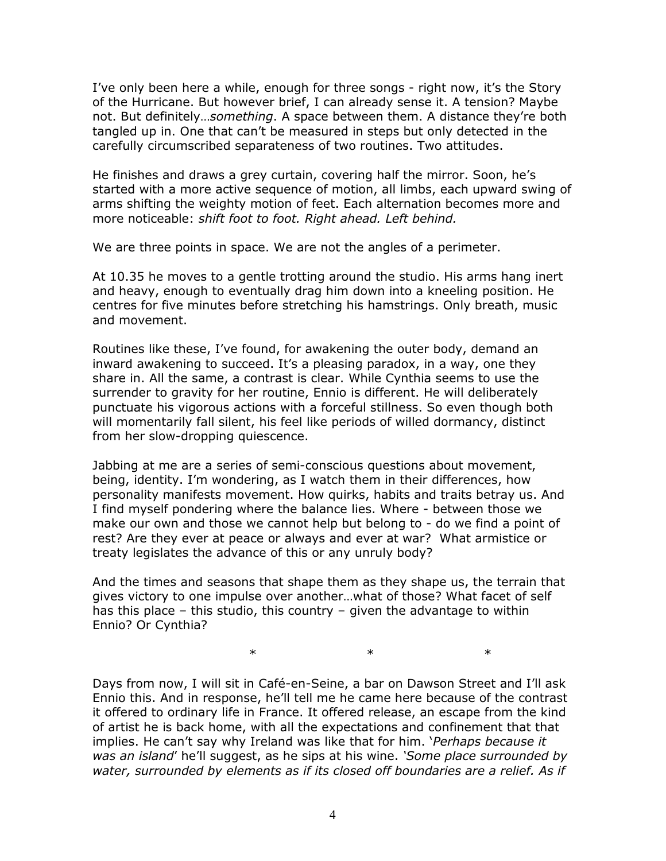I've only been here a while, enough for three songs - right now, it's the Story of the Hurricane. But however brief, I can already sense it. A tension? Maybe not. But definitely…*something*. A space between them. A distance they're both tangled up in. One that can't be measured in steps but only detected in the carefully circumscribed separateness of two routines. Two attitudes.

He finishes and draws a grey curtain, covering half the mirror. Soon, he's started with a more active sequence of motion, all limbs, each upward swing of arms shifting the weighty motion of feet. Each alternation becomes more and more noticeable: *shift foot to foot. Right ahead. Left behind.*

We are three points in space. We are not the angles of a perimeter.

At 10.35 he moves to a gentle trotting around the studio. His arms hang inert and heavy, enough to eventually drag him down into a kneeling position. He centres for five minutes before stretching his hamstrings. Only breath, music and movement.

Routines like these, I've found, for awakening the outer body, demand an inward awakening to succeed. It's a pleasing paradox, in a way, one they share in. All the same, a contrast is clear. While Cynthia seems to use the surrender to gravity for her routine, Ennio is different. He will deliberately punctuate his vigorous actions with a forceful stillness. So even though both will momentarily fall silent, his feel like periods of willed dormancy, distinct from her slow-dropping quiescence.

Jabbing at me are a series of semi-conscious questions about movement, being, identity. I'm wondering, as I watch them in their differences, how personality manifests movement. How quirks, habits and traits betray us. And I find myself pondering where the balance lies. Where - between those we make our own and those we cannot help but belong to - do we find a point of rest? Are they ever at peace or always and ever at war? What armistice or treaty legislates the advance of this or any unruly body?

And the times and seasons that shape them as they shape us, the terrain that gives victory to one impulse over another…what of those? What facet of self has this place – this studio, this country – given the advantage to within Ennio? Or Cynthia?

 $\begin{matrix} \star \\ \star \end{matrix}$   $\begin{matrix} \star \\ \star \end{matrix}$ 

Days from now, I will sit in Café-en-Seine, a bar on Dawson Street and I'll ask Ennio this. And in response, he'll tell me he came here because of the contrast it offered to ordinary life in France. It offered release, an escape from the kind of artist he is back home, with all the expectations and confinement that that implies. He can't say why Ireland was like that for him. '*Perhaps because it was an island*' he'll suggest, as he sips at his wine. *'Some place surrounded by water, surrounded by elements as if its closed off boundaries are a relief. As if*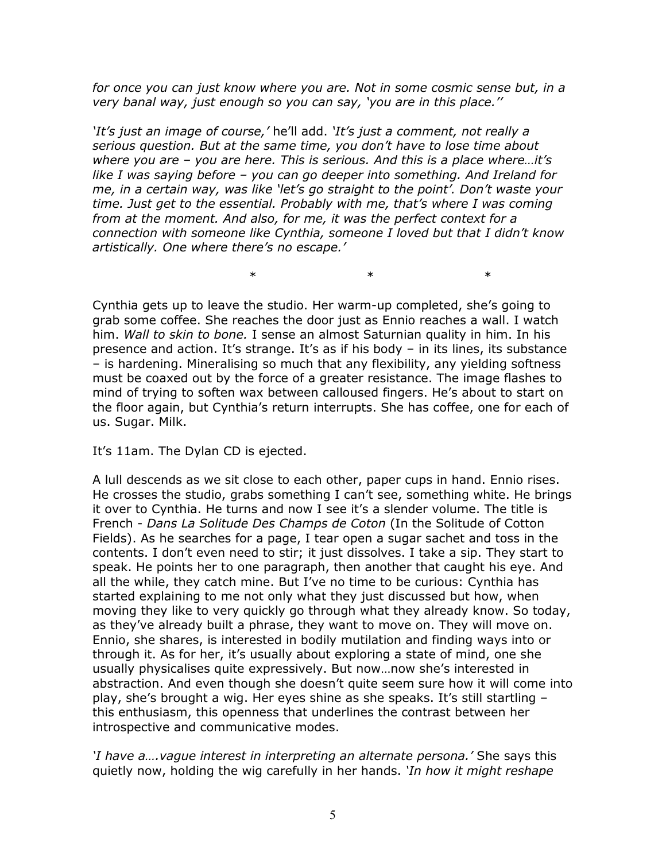*for once you can just know where you are. Not in some cosmic sense but, in a very banal way, just enough so you can say, 'you are in this place.''*

*'It's just an image of course,'* he'll add. *'It's just a comment, not really a serious question. But at the same time, you don't have to lose time about where you are – you are here. This is serious. And this is a place where…it's like I was saying before – you can go deeper into something. And Ireland for me, in a certain way, was like 'let's go straight to the point'. Don't waste your time. Just get to the essential. Probably with me, that's where I was coming from at the moment. And also, for me, it was the perfect context for a connection with someone like Cynthia, someone I loved but that I didn't know artistically. One where there's no escape.'* 

 $\begin{matrix} \star \\ \star \end{matrix}$   $\begin{matrix} \star \\ \star \end{matrix}$ 

Cynthia gets up to leave the studio. Her warm-up completed, she's going to grab some coffee. She reaches the door just as Ennio reaches a wall. I watch him. *Wall to skin to bone.* I sense an almost Saturnian quality in him. In his presence and action. It's strange. It's as if his body – in its lines, its substance – is hardening. Mineralising so much that any flexibility, any yielding softness must be coaxed out by the force of a greater resistance. The image flashes to mind of trying to soften wax between calloused fingers. He's about to start on the floor again, but Cynthia's return interrupts. She has coffee, one for each of us. Sugar. Milk.

It's 11am. The Dylan CD is ejected.

A lull descends as we sit close to each other, paper cups in hand. Ennio rises. He crosses the studio, grabs something I can't see, something white. He brings it over to Cynthia. He turns and now I see it's a slender volume. The title is French - *Dans La Solitude Des Champs de Coton* (In the Solitude of Cotton Fields). As he searches for a page, I tear open a sugar sachet and toss in the contents. I don't even need to stir; it just dissolves. I take a sip. They start to speak. He points her to one paragraph, then another that caught his eye. And all the while, they catch mine. But I've no time to be curious: Cynthia has started explaining to me not only what they just discussed but how, when moving they like to very quickly go through what they already know. So today, as they've already built a phrase, they want to move on. They will move on. Ennio, she shares, is interested in bodily mutilation and finding ways into or through it. As for her, it's usually about exploring a state of mind, one she usually physicalises quite expressively. But now…now she's interested in abstraction. And even though she doesn't quite seem sure how it will come into play, she's brought a wig. Her eyes shine as she speaks. It's still startling – this enthusiasm, this openness that underlines the contrast between her introspective and communicative modes.

*'I have a….vague interest in interpreting an alternate persona.'* She says this quietly now, holding the wig carefully in her hands. *'In how it might reshape*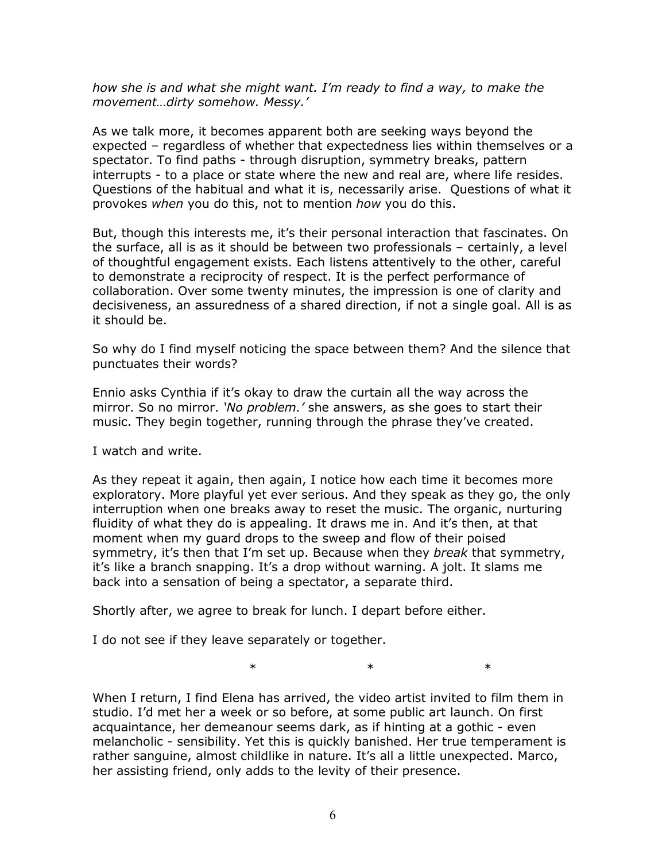*how she is and what she might want. I'm ready to find a way, to make the movement…dirty somehow. Messy.'* 

As we talk more, it becomes apparent both are seeking ways beyond the expected – regardless of whether that expectedness lies within themselves or a spectator. To find paths - through disruption, symmetry breaks, pattern interrupts - to a place or state where the new and real are, where life resides. Questions of the habitual and what it is, necessarily arise. Questions of what it provokes *when* you do this, not to mention *how* you do this.

But, though this interests me, it's their personal interaction that fascinates. On the surface, all is as it should be between two professionals – certainly, a level of thoughtful engagement exists. Each listens attentively to the other, careful to demonstrate a reciprocity of respect. It is the perfect performance of collaboration. Over some twenty minutes, the impression is one of clarity and decisiveness, an assuredness of a shared direction, if not a single goal. All is as it should be.

So why do I find myself noticing the space between them? And the silence that punctuates their words?

Ennio asks Cynthia if it's okay to draw the curtain all the way across the mirror. So no mirror. *'No problem.'* she answers, as she goes to start their music. They begin together, running through the phrase they've created.

I watch and write.

As they repeat it again, then again, I notice how each time it becomes more exploratory. More playful yet ever serious. And they speak as they go, the only interruption when one breaks away to reset the music. The organic, nurturing fluidity of what they do is appealing. It draws me in. And it's then, at that moment when my guard drops to the sweep and flow of their poised symmetry, it's then that I'm set up. Because when they *break* that symmetry, it's like a branch snapping. It's a drop without warning. A jolt. It slams me back into a sensation of being a spectator, a separate third.

Shortly after, we agree to break for lunch. I depart before either.

I do not see if they leave separately or together.

 $\begin{matrix} \star \\ \star \end{matrix}$   $\begin{matrix} \star \\ \star \end{matrix}$ 

When I return, I find Elena has arrived, the video artist invited to film them in studio. I'd met her a week or so before, at some public art launch. On first acquaintance, her demeanour seems dark, as if hinting at a gothic - even melancholic - sensibility. Yet this is quickly banished. Her true temperament is rather sanguine, almost childlike in nature. It's all a little unexpected. Marco, her assisting friend, only adds to the levity of their presence.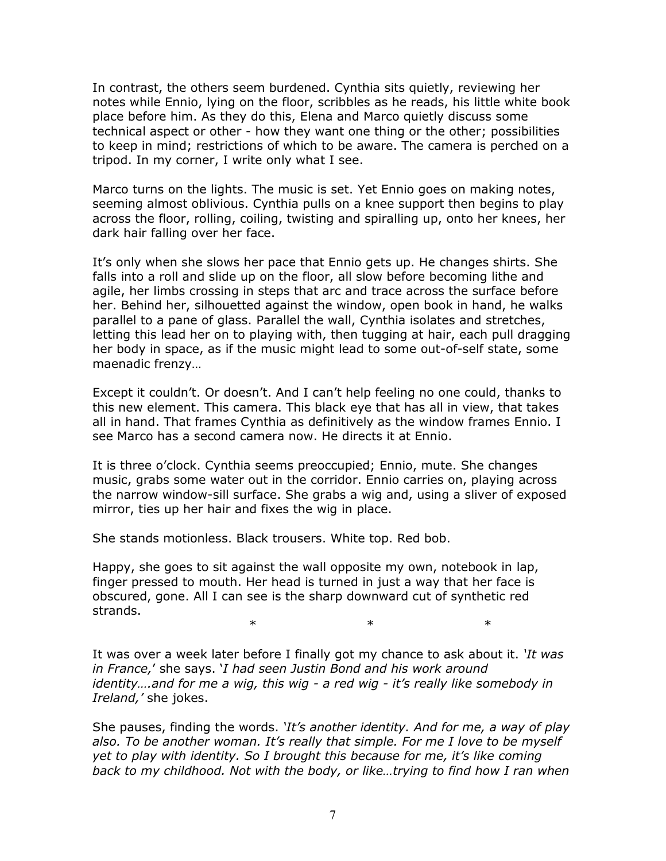In contrast, the others seem burdened. Cynthia sits quietly, reviewing her notes while Ennio, lying on the floor, scribbles as he reads, his little white book place before him. As they do this, Elena and Marco quietly discuss some technical aspect or other - how they want one thing or the other; possibilities to keep in mind; restrictions of which to be aware. The camera is perched on a tripod. In my corner, I write only what I see.

Marco turns on the lights. The music is set. Yet Ennio goes on making notes, seeming almost oblivious. Cynthia pulls on a knee support then begins to play across the floor, rolling, coiling, twisting and spiralling up, onto her knees, her dark hair falling over her face.

It's only when she slows her pace that Ennio gets up. He changes shirts. She falls into a roll and slide up on the floor, all slow before becoming lithe and agile, her limbs crossing in steps that arc and trace across the surface before her. Behind her, silhouetted against the window, open book in hand, he walks parallel to a pane of glass. Parallel the wall, Cynthia isolates and stretches, letting this lead her on to playing with, then tugging at hair, each pull dragging her body in space, as if the music might lead to some out-of-self state, some maenadic frenzy…

Except it couldn't. Or doesn't. And I can't help feeling no one could, thanks to this new element. This camera. This black eye that has all in view, that takes all in hand. That frames Cynthia as definitively as the window frames Ennio. I see Marco has a second camera now. He directs it at Ennio.

It is three o'clock. Cynthia seems preoccupied; Ennio, mute. She changes music, grabs some water out in the corridor. Ennio carries on, playing across the narrow window-sill surface. She grabs a wig and, using a sliver of exposed mirror, ties up her hair and fixes the wig in place.

She stands motionless. Black trousers. White top. Red bob.

Happy, she goes to sit against the wall opposite my own, notebook in lap, finger pressed to mouth. Her head is turned in just a way that her face is obscured, gone. All I can see is the sharp downward cut of synthetic red strands.  $\begin{matrix} * & * \end{matrix}$  \*  $\begin{matrix} * & * \end{matrix}$ 

It was over a week later before I finally got my chance to ask about it. *'It was in France,*' she says. '*I had seen Justin Bond and his work around identity….and for me a wig, this wig - a red wig - it's really like somebody in Ireland,'* she jokes.

She pauses, finding the words. *'It's another identity. And for me, a way of play also. To be another woman. It's really that simple. For me I love to be myself yet to play with identity. So I brought this because for me, it's like coming*  back to my childhood. Not with the body, or like...trying to find how I ran when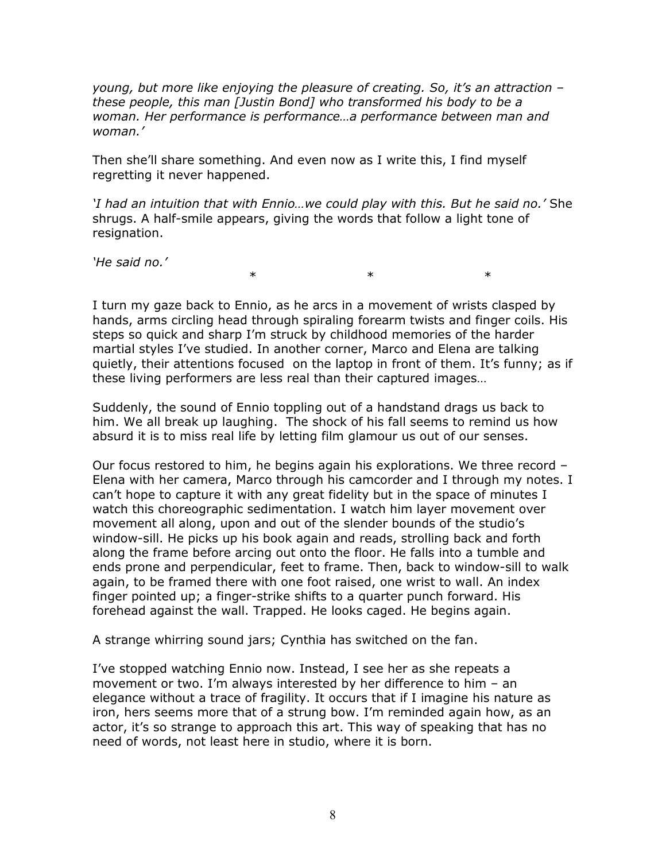*young, but more like enjoying the pleasure of creating. So, it's an attraction – these people, this man [Justin Bond] who transformed his body to be a woman. Her performance is performance…a performance between man and woman.'*

Then she'll share something. And even now as I write this, I find myself regretting it never happened.

*'I had an intuition that with Ennio…we could play with this. But he said no.'* She shrugs. A half-smile appears, giving the words that follow a light tone of resignation.

*'He said no.'*

 $\begin{matrix} \star \\ \star \end{matrix}$   $\begin{matrix} \star \\ \star \end{matrix}$ 

I turn my gaze back to Ennio, as he arcs in a movement of wrists clasped by hands, arms circling head through spiraling forearm twists and finger coils. His steps so quick and sharp I'm struck by childhood memories of the harder martial styles I've studied. In another corner, Marco and Elena are talking quietly, their attentions focused on the laptop in front of them. It's funny; as if these living performers are less real than their captured images…

Suddenly, the sound of Ennio toppling out of a handstand drags us back to him. We all break up laughing. The shock of his fall seems to remind us how absurd it is to miss real life by letting film glamour us out of our senses.

Our focus restored to him, he begins again his explorations. We three record – Elena with her camera, Marco through his camcorder and I through my notes. I can't hope to capture it with any great fidelity but in the space of minutes I watch this choreographic sedimentation. I watch him layer movement over movement all along, upon and out of the slender bounds of the studio's window-sill. He picks up his book again and reads, strolling back and forth along the frame before arcing out onto the floor. He falls into a tumble and ends prone and perpendicular, feet to frame. Then, back to window-sill to walk again, to be framed there with one foot raised, one wrist to wall. An index finger pointed up; a finger-strike shifts to a quarter punch forward. His forehead against the wall. Trapped. He looks caged. He begins again.

A strange whirring sound jars; Cynthia has switched on the fan.

I've stopped watching Ennio now. Instead, I see her as she repeats a movement or two. I'm always interested by her difference to him – an elegance without a trace of fragility. It occurs that if I imagine his nature as iron, hers seems more that of a strung bow. I'm reminded again how, as an actor, it's so strange to approach this art. This way of speaking that has no need of words, not least here in studio, where it is born.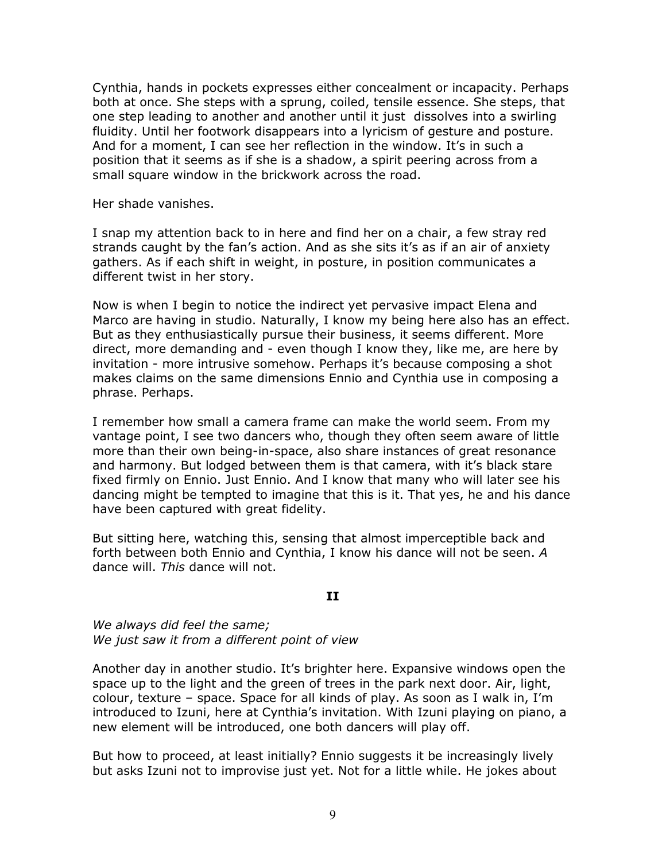Cynthia, hands in pockets expresses either concealment or incapacity. Perhaps both at once. She steps with a sprung, coiled, tensile essence. She steps, that one step leading to another and another until it just dissolves into a swirling fluidity. Until her footwork disappears into a lyricism of gesture and posture. And for a moment, I can see her reflection in the window. It's in such a position that it seems as if she is a shadow, a spirit peering across from a small square window in the brickwork across the road.

Her shade vanishes.

I snap my attention back to in here and find her on a chair, a few stray red strands caught by the fan's action. And as she sits it's as if an air of anxiety gathers. As if each shift in weight, in posture, in position communicates a different twist in her story.

Now is when I begin to notice the indirect yet pervasive impact Elena and Marco are having in studio. Naturally, I know my being here also has an effect. But as they enthusiastically pursue their business, it seems different. More direct, more demanding and - even though I know they, like me, are here by invitation - more intrusive somehow. Perhaps it's because composing a shot makes claims on the same dimensions Ennio and Cynthia use in composing a phrase. Perhaps.

I remember how small a camera frame can make the world seem. From my vantage point, I see two dancers who, though they often seem aware of little more than their own being-in-space, also share instances of great resonance and harmony. But lodged between them is that camera, with it's black stare fixed firmly on Ennio. Just Ennio. And I know that many who will later see his dancing might be tempted to imagine that this is it. That yes, he and his dance have been captured with great fidelity.

But sitting here, watching this, sensing that almost imperceptible back and forth between both Ennio and Cynthia, I know his dance will not be seen. *A* dance will. *This* dance will not.

### **II**

*We always did feel the same; We just saw it from a different point of view* 

Another day in another studio. It's brighter here. Expansive windows open the space up to the light and the green of trees in the park next door. Air, light, colour, texture – space. Space for all kinds of play. As soon as I walk in, I'm introduced to Izuni, here at Cynthia's invitation. With Izuni playing on piano, a new element will be introduced, one both dancers will play off.

But how to proceed, at least initially? Ennio suggests it be increasingly lively but asks Izuni not to improvise just yet. Not for a little while. He jokes about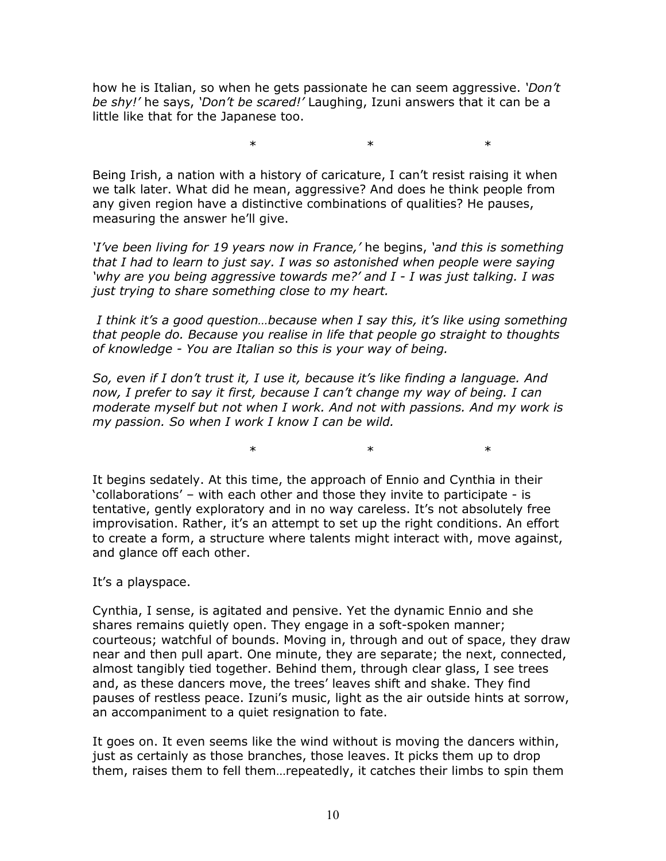how he is Italian, so when he gets passionate he can seem aggressive. *'Don't be shy!'* he says, *'Don't be scared!'* Laughing, Izuni answers that it can be a little like that for the Japanese too.

 $\begin{matrix} \star \\ \star \end{matrix}$   $\begin{matrix} \star \\ \star \end{matrix}$ 

Being Irish, a nation with a history of caricature, I can't resist raising it when we talk later. What did he mean, aggressive? And does he think people from any given region have a distinctive combinations of qualities? He pauses, measuring the answer he'll give.

*'I've been living for 19 years now in France,'* he begins, *'and this is something that I had to learn to just say. I was so astonished when people were saying 'why are you being aggressive towards me?' and I - I was just talking. I was just trying to share something close to my heart.* 

 *I think it's a good question…because when I say this, it's like using something that people do. Because you realise in life that people go straight to thoughts of knowledge - You are Italian so this is your way of being.* 

*So, even if I don't trust it, I use it, because it's like finding a language. And now, I prefer to say it first, because I can't change my way of being. I can moderate myself but not when I work. And not with passions. And my work is my passion. So when I work I know I can be wild.* 

 $\begin{matrix} * & * \end{matrix}$  \*  $\begin{matrix} * & * \end{matrix}$ 

It begins sedately. At this time, the approach of Ennio and Cynthia in their 'collaborations' – with each other and those they invite to participate - is tentative, gently exploratory and in no way careless. It's not absolutely free improvisation. Rather, it's an attempt to set up the right conditions. An effort to create a form, a structure where talents might interact with, move against, and glance off each other.

It's a playspace.

Cynthia, I sense, is agitated and pensive. Yet the dynamic Ennio and she shares remains quietly open. They engage in a soft-spoken manner; courteous; watchful of bounds. Moving in, through and out of space, they draw near and then pull apart. One minute, they are separate; the next, connected, almost tangibly tied together. Behind them, through clear glass, I see trees and, as these dancers move, the trees' leaves shift and shake. They find pauses of restless peace. Izuni's music, light as the air outside hints at sorrow, an accompaniment to a quiet resignation to fate.

It goes on. It even seems like the wind without is moving the dancers within, just as certainly as those branches, those leaves. It picks them up to drop them, raises them to fell them…repeatedly, it catches their limbs to spin them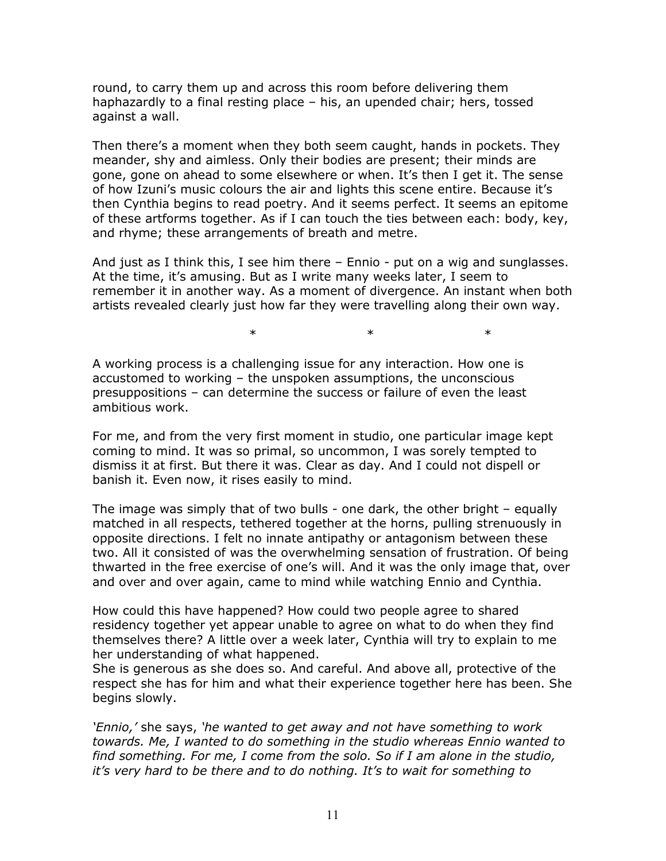round, to carry them up and across this room before delivering them haphazardly to a final resting place – his, an upended chair; hers, tossed against a wall.

Then there's a moment when they both seem caught, hands in pockets. They meander, shy and aimless. Only their bodies are present; their minds are gone, gone on ahead to some elsewhere or when. It's then I get it. The sense of how Izuni's music colours the air and lights this scene entire. Because it's then Cynthia begins to read poetry. And it seems perfect. It seems an epitome of these artforms together. As if I can touch the ties between each: body, key, and rhyme; these arrangements of breath and metre.

And just as I think this, I see him there – Ennio - put on a wig and sunglasses. At the time, it's amusing. But as I write many weeks later, I seem to remember it in another way. As a moment of divergence. An instant when both artists revealed clearly just how far they were travelling along their own way.

 $\begin{matrix} * & * \end{matrix}$  \*  $\begin{matrix} * & * \end{matrix}$ 

A working process is a challenging issue for any interaction. How one is accustomed to working – the unspoken assumptions, the unconscious presuppositions – can determine the success or failure of even the least ambitious work.

For me, and from the very first moment in studio, one particular image kept coming to mind. It was so primal, so uncommon, I was sorely tempted to dismiss it at first. But there it was. Clear as day. And I could not dispell or banish it. Even now, it rises easily to mind.

The image was simply that of two bulls - one dark, the other bright – equally matched in all respects, tethered together at the horns, pulling strenuously in opposite directions. I felt no innate antipathy or antagonism between these two. All it consisted of was the overwhelming sensation of frustration. Of being thwarted in the free exercise of one's will. And it was the only image that, over and over and over again, came to mind while watching Ennio and Cynthia.

How could this have happened? How could two people agree to shared residency together yet appear unable to agree on what to do when they find themselves there? A little over a week later, Cynthia will try to explain to me her understanding of what happened.

She is generous as she does so. And careful. And above all, protective of the respect she has for him and what their experience together here has been. She begins slowly.

*'Ennio,'* she says, *'he wanted to get away and not have something to work towards. Me, I wanted to do something in the studio whereas Ennio wanted to find something. For me, I come from the solo. So if I am alone in the studio, it's very hard to be there and to do nothing. It's to wait for something to*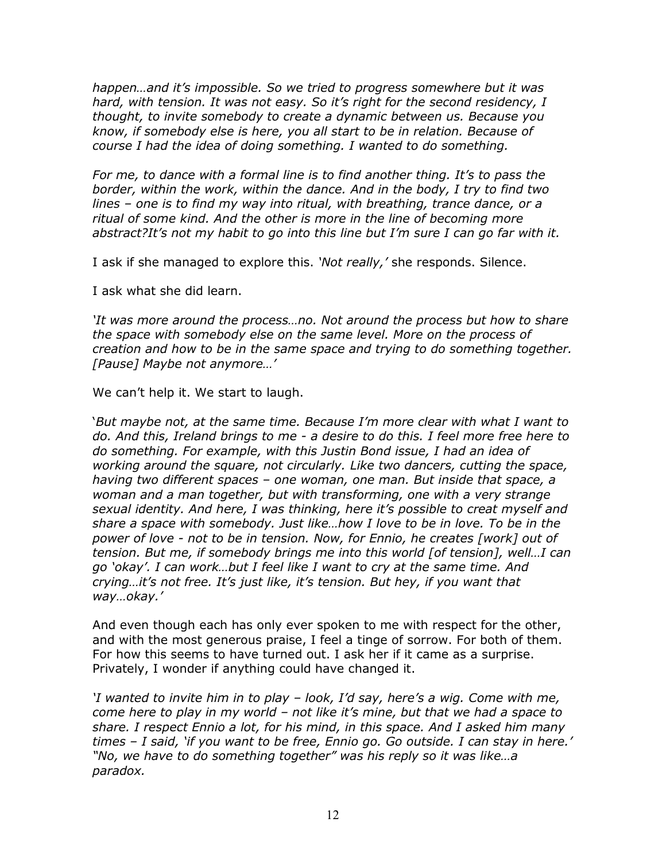*happen…and it's impossible. So we tried to progress somewhere but it was hard, with tension. It was not easy. So it's right for the second residency, I thought, to invite somebody to create a dynamic between us. Because you know, if somebody else is here, you all start to be in relation. Because of course I had the idea of doing something. I wanted to do something.*

*For me, to dance with a formal line is to find another thing. It's to pass the border, within the work, within the dance. And in the body, I try to find two lines – one is to find my way into ritual, with breathing, trance dance, or a ritual of some kind. And the other is more in the line of becoming more abstract?It's not my habit to go into this line but I'm sure I can go far with it.* 

I ask if she managed to explore this. *'Not really,'* she responds. Silence.

I ask what she did learn.

*'It was more around the process…no. Not around the process but how to share the space with somebody else on the same level. More on the process of creation and how to be in the same space and trying to do something together. [Pause] Maybe not anymore…'* 

We can't help it. We start to laugh.

'*But maybe not, at the same time. Because I'm more clear with what I want to do. And this, Ireland brings to me - a desire to do this. I feel more free here to do something. For example, with this Justin Bond issue, I had an idea of working around the square, not circularly. Like two dancers, cutting the space, having two different spaces – one woman, one man. But inside that space, a woman and a man together, but with transforming, one with a very strange sexual identity. And here, I was thinking, here it's possible to creat myself and share a space with somebody. Just like…how I love to be in love. To be in the power of love - not to be in tension. Now, for Ennio, he creates [work] out of tension. But me, if somebody brings me into this world [of tension], well…I can go 'okay'. I can work…but I feel like I want to cry at the same time. And crying…it's not free. It's just like, it's tension. But hey, if you want that way…okay.'* 

And even though each has only ever spoken to me with respect for the other, and with the most generous praise, I feel a tinge of sorrow. For both of them. For how this seems to have turned out. I ask her if it came as a surprise. Privately, I wonder if anything could have changed it.

*'I wanted to invite him in to play – look, I'd say, here's a wig. Come with me, come here to play in my world – not like it's mine, but that we had a space to share. I respect Ennio a lot, for his mind, in this space. And I asked him many times – I said, 'if you want to be free, Ennio go. Go outside. I can stay in here.' "No, we have to do something together" was his reply so it was like…a paradox.*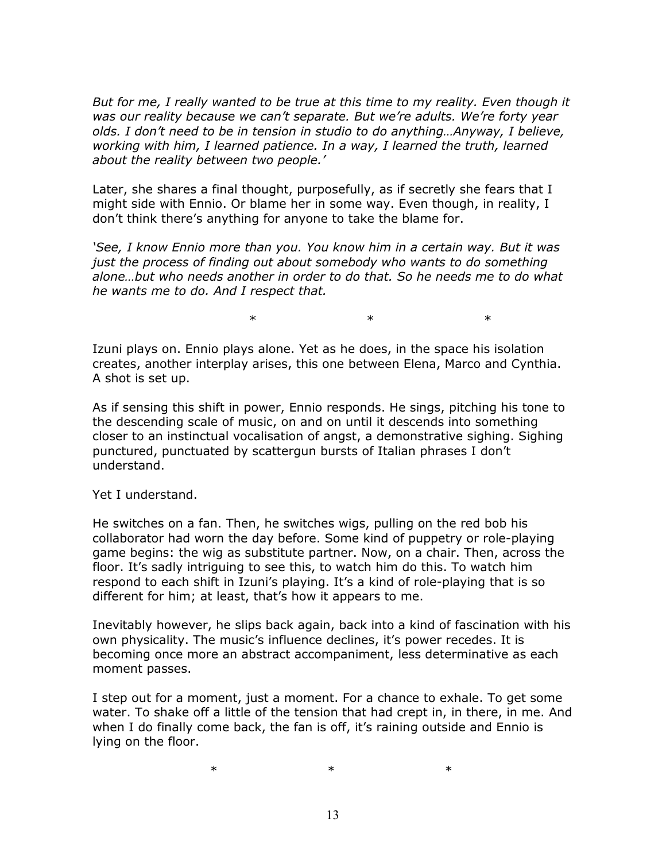*But for me, I really wanted to be true at this time to my reality. Even though it was our reality because we can't separate. But we're adults. We're forty year olds. I don't need to be in tension in studio to do anything…Anyway, I believe, working with him, I learned patience. In a way, I learned the truth, learned about the reality between two people.'* 

Later, she shares a final thought, purposefully, as if secretly she fears that I might side with Ennio. Or blame her in some way. Even though, in reality, I don't think there's anything for anyone to take the blame for.

*'See, I know Ennio more than you. You know him in a certain way. But it was just the process of finding out about somebody who wants to do something alone…but who needs another in order to do that. So he needs me to do what he wants me to do. And I respect that.*

 $\begin{matrix} \star \\ \star \end{matrix}$   $\begin{matrix} \star \\ \star \end{matrix}$ 

Izuni plays on. Ennio plays alone. Yet as he does, in the space his isolation creates, another interplay arises, this one between Elena, Marco and Cynthia. A shot is set up.

As if sensing this shift in power, Ennio responds. He sings, pitching his tone to the descending scale of music, on and on until it descends into something closer to an instinctual vocalisation of angst, a demonstrative sighing. Sighing punctured, punctuated by scattergun bursts of Italian phrases I don't understand.

Yet I understand.

He switches on a fan. Then, he switches wigs, pulling on the red bob his collaborator had worn the day before. Some kind of puppetry or role-playing game begins: the wig as substitute partner. Now, on a chair. Then, across the floor. It's sadly intriguing to see this, to watch him do this. To watch him respond to each shift in Izuni's playing. It's a kind of role-playing that is so different for him; at least, that's how it appears to me.

Inevitably however, he slips back again, back into a kind of fascination with his own physicality. The music's influence declines, it's power recedes. It is becoming once more an abstract accompaniment, less determinative as each moment passes.

I step out for a moment, just a moment. For a chance to exhale. To get some water. To shake off a little of the tension that had crept in, in there, in me. And when I do finally come back, the fan is off, it's raining outside and Ennio is lying on the floor.

 $*$  \* \* \* \*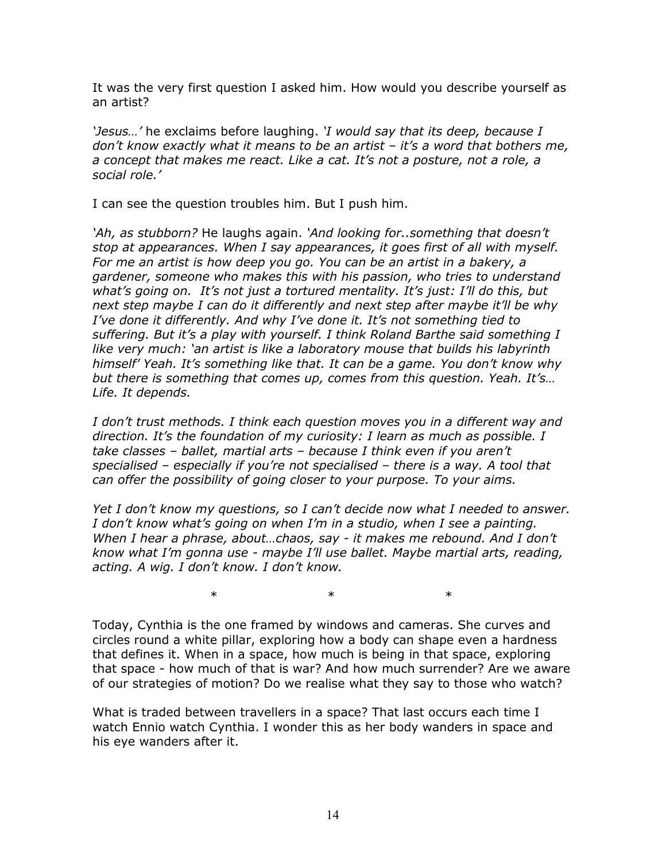It was the very first question I asked him. How would you describe yourself as an artist?

*'Jesus…'* he exclaims before laughing. *'I would say that its deep, because I don't know exactly what it means to be an artist – it's a word that bothers me, a concept that makes me react. Like a cat. It's not a posture, not a role, a social role.'* 

I can see the question troubles him. But I push him.

*'Ah, as stubborn?* He laughs again. *'And looking for..something that doesn't stop at appearances. When I say appearances, it goes first of all with myself. For me an artist is how deep you go. You can be an artist in a bakery, a gardener, someone who makes this with his passion, who tries to understand what's going on. It's not just a tortured mentality. It's just: I'll do this, but next step maybe I can do it differently and next step after maybe it'll be why I've done it differently. And why I've done it. It's not something tied to suffering. But it's a play with yourself. I think Roland Barthe said something I like very much: 'an artist is like a laboratory mouse that builds his labyrinth himself' Yeah. It's something like that. It can be a game. You don't know why but there is something that comes up, comes from this question. Yeah. It's… Life. It depends.* 

*I don't trust methods. I think each question moves you in a different way and direction. It's the foundation of my curiosity: I learn as much as possible. I take classes – ballet, martial arts – because I think even if you aren't specialised – especially if you're not specialised – there is a way. A tool that can offer the possibility of going closer to your purpose. To your aims.* 

*Yet I don't know my questions, so I can't decide now what I needed to answer. I don't know what's going on when I'm in a studio, when I see a painting. When I hear a phrase, about…chaos, say - it makes me rebound. And I don't know what I'm gonna use - maybe I'll use ballet. Maybe martial arts, reading, acting. A wig. I don't know. I don't know.*

 $\begin{matrix} * & * \end{matrix}$  \* \* \*

Today, Cynthia is the one framed by windows and cameras. She curves and circles round a white pillar, exploring how a body can shape even a hardness that defines it. When in a space, how much is being in that space, exploring that space - how much of that is war? And how much surrender? Are we aware of our strategies of motion? Do we realise what they say to those who watch?

What is traded between travellers in a space? That last occurs each time I watch Ennio watch Cynthia. I wonder this as her body wanders in space and his eye wanders after it.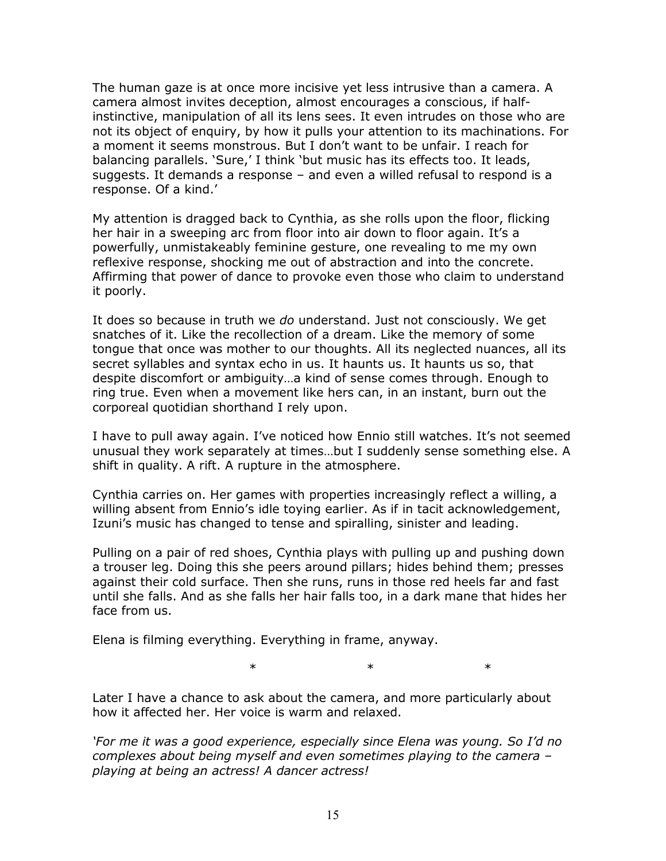The human gaze is at once more incisive yet less intrusive than a camera. A camera almost invites deception, almost encourages a conscious, if halfinstinctive, manipulation of all its lens sees. It even intrudes on those who are not its object of enquiry, by how it pulls your attention to its machinations. For a moment it seems monstrous. But I don't want to be unfair. I reach for balancing parallels. 'Sure,' I think 'but music has its effects too. It leads, suggests. It demands a response – and even a willed refusal to respond is a response. Of a kind.'

My attention is dragged back to Cynthia, as she rolls upon the floor, flicking her hair in a sweeping arc from floor into air down to floor again. It's a powerfully, unmistakeably feminine gesture, one revealing to me my own reflexive response, shocking me out of abstraction and into the concrete. Affirming that power of dance to provoke even those who claim to understand it poorly.

It does so because in truth we *do* understand. Just not consciously. We get snatches of it. Like the recollection of a dream. Like the memory of some tongue that once was mother to our thoughts. All its neglected nuances, all its secret syllables and syntax echo in us. It haunts us. It haunts us so, that despite discomfort or ambiguity…a kind of sense comes through. Enough to ring true. Even when a movement like hers can, in an instant, burn out the corporeal quotidian shorthand I rely upon.

I have to pull away again. I've noticed how Ennio still watches. It's not seemed unusual they work separately at times…but I suddenly sense something else. A shift in quality. A rift. A rupture in the atmosphere.

Cynthia carries on. Her games with properties increasingly reflect a willing, a willing absent from Ennio's idle toying earlier. As if in tacit acknowledgement, Izuni's music has changed to tense and spiralling, sinister and leading.

Pulling on a pair of red shoes, Cynthia plays with pulling up and pushing down a trouser leg. Doing this she peers around pillars; hides behind them; presses against their cold surface. Then she runs, runs in those red heels far and fast until she falls. And as she falls her hair falls too, in a dark mane that hides her face from us.

Elena is filming everything. Everything in frame, anyway.

 $\begin{matrix} \star \\ \star \end{matrix}$   $\begin{matrix} \star \\ \star \end{matrix}$ 

Later I have a chance to ask about the camera, and more particularly about how it affected her. Her voice is warm and relaxed.

*'For me it was a good experience, especially since Elena was young. So I'd no complexes about being myself and even sometimes playing to the camera – playing at being an actress! A dancer actress!*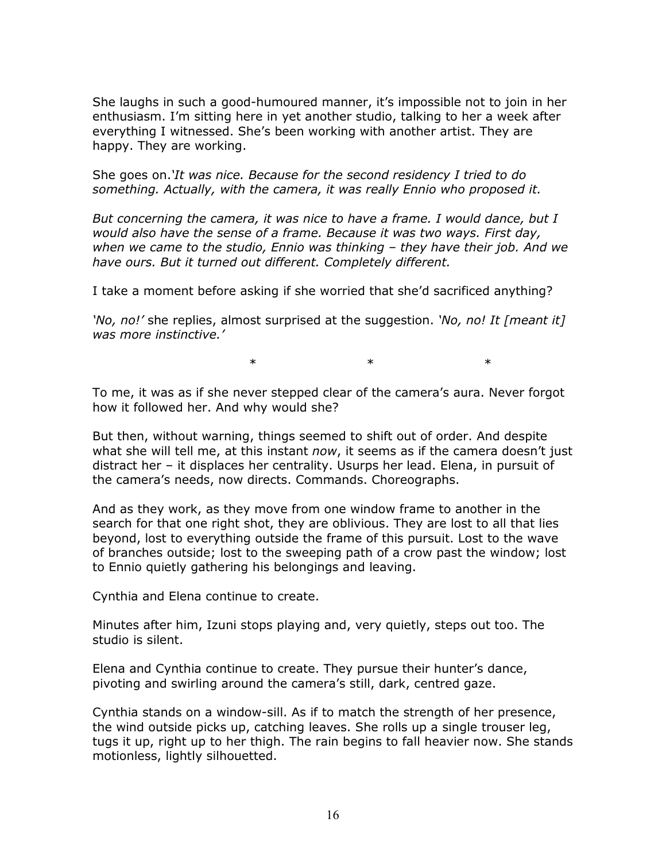She laughs in such a good-humoured manner, it's impossible not to join in her enthusiasm. I'm sitting here in yet another studio, talking to her a week after everything I witnessed. She's been working with another artist. They are happy. They are working.

She goes on.*'It was nice. Because for the second residency I tried to do something. Actually, with the camera, it was really Ennio who proposed it.* 

*But concerning the camera, it was nice to have a frame. I would dance, but I would also have the sense of a frame. Because it was two ways. First day, when we came to the studio, Ennio was thinking – they have their job. And we have ours. But it turned out different. Completely different.* 

I take a moment before asking if she worried that she'd sacrificed anything?

*'No, no!'* she replies, almost surprised at the suggestion. *'No, no! It [meant it] was more instinctive.'* 

 $\begin{matrix} \star \\ \star \end{matrix}$   $\begin{matrix} \star \\ \star \end{matrix}$ 

To me, it was as if she never stepped clear of the camera's aura. Never forgot how it followed her. And why would she?

But then, without warning, things seemed to shift out of order. And despite what she will tell me, at this instant *now*, it seems as if the camera doesn't just distract her – it displaces her centrality. Usurps her lead. Elena, in pursuit of the camera's needs, now directs. Commands. Choreographs.

And as they work, as they move from one window frame to another in the search for that one right shot, they are oblivious. They are lost to all that lies beyond, lost to everything outside the frame of this pursuit. Lost to the wave of branches outside; lost to the sweeping path of a crow past the window; lost to Ennio quietly gathering his belongings and leaving.

Cynthia and Elena continue to create.

Minutes after him, Izuni stops playing and, very quietly, steps out too. The studio is silent.

Elena and Cynthia continue to create. They pursue their hunter's dance, pivoting and swirling around the camera's still, dark, centred gaze.

Cynthia stands on a window-sill. As if to match the strength of her presence, the wind outside picks up, catching leaves. She rolls up a single trouser leg, tugs it up, right up to her thigh. The rain begins to fall heavier now. She stands motionless, lightly silhouetted.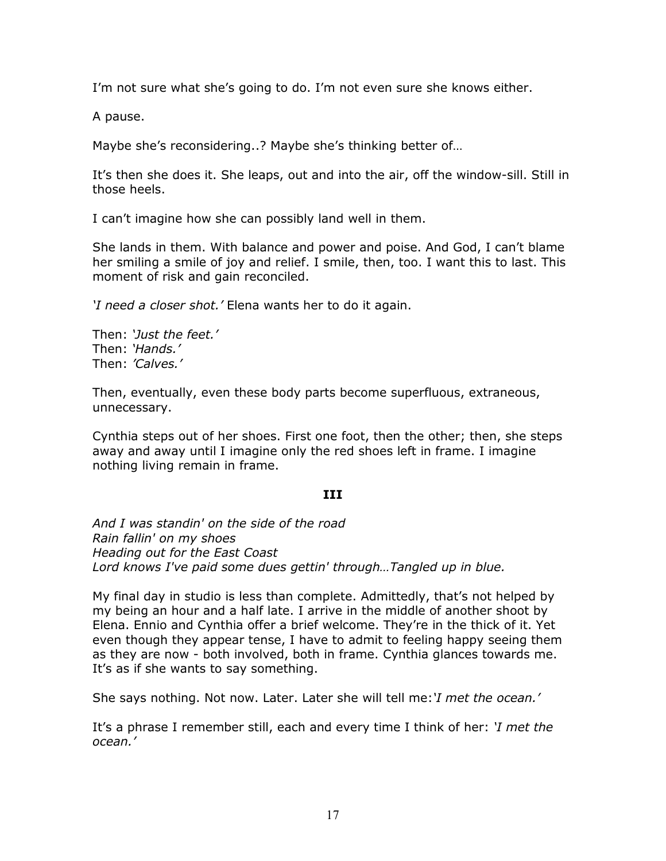I'm not sure what she's going to do. I'm not even sure she knows either.

A pause.

Maybe she's reconsidering..? Maybe she's thinking better of…

It's then she does it. She leaps, out and into the air, off the window-sill. Still in those heels.

I can't imagine how she can possibly land well in them.

She lands in them. With balance and power and poise. And God, I can't blame her smiling a smile of joy and relief. I smile, then, too. I want this to last. This moment of risk and gain reconciled.

*'I need a closer shot.'* Elena wants her to do it again.

Then: *'Just the feet.'*  Then: *'Hands.'*  Then: *'Calves.'*

Then, eventually, even these body parts become superfluous, extraneous, unnecessary.

Cynthia steps out of her shoes. First one foot, then the other; then, she steps away and away until I imagine only the red shoes left in frame. I imagine nothing living remain in frame.

### **III**

*And I was standin' on the side of the road Rain fallin' on my shoes Heading out for the East Coast Lord knows I've paid some dues gettin' through…Tangled up in blue.* 

My final day in studio is less than complete. Admittedly, that's not helped by my being an hour and a half late. I arrive in the middle of another shoot by Elena. Ennio and Cynthia offer a brief welcome. They're in the thick of it. Yet even though they appear tense, I have to admit to feeling happy seeing them as they are now - both involved, both in frame. Cynthia glances towards me. It's as if she wants to say something.

She says nothing. Not now. Later. Later she will tell me:*'I met the ocean.'*

It's a phrase I remember still, each and every time I think of her: *'I met the ocean.'*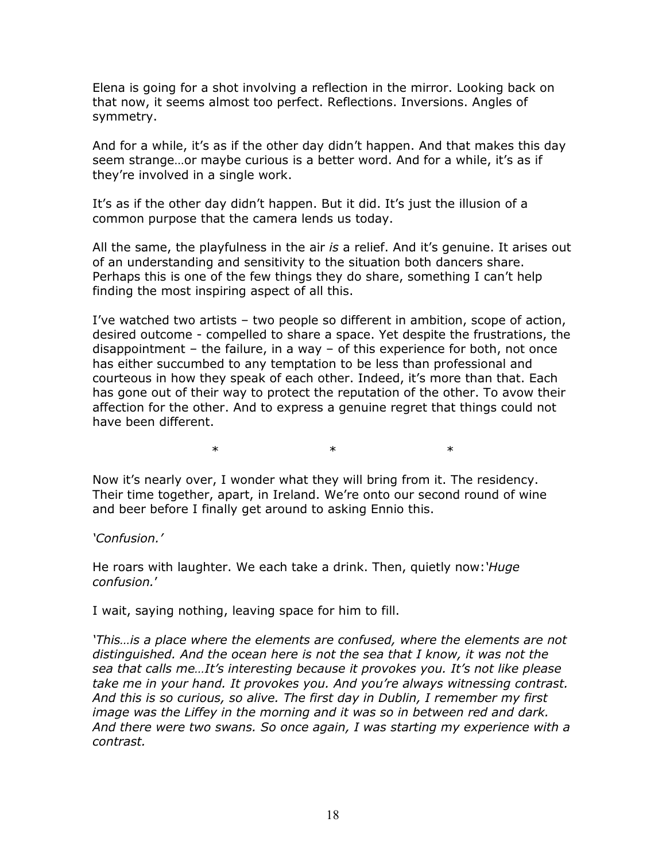Elena is going for a shot involving a reflection in the mirror. Looking back on that now, it seems almost too perfect. Reflections. Inversions. Angles of symmetry.

And for a while, it's as if the other day didn't happen. And that makes this day seem strange…or maybe curious is a better word. And for a while, it's as if they're involved in a single work.

It's as if the other day didn't happen. But it did. It's just the illusion of a common purpose that the camera lends us today.

All the same, the playfulness in the air *is* a relief. And it's genuine. It arises out of an understanding and sensitivity to the situation both dancers share. Perhaps this is one of the few things they do share, something I can't help finding the most inspiring aspect of all this.

I've watched two artists – two people so different in ambition, scope of action, desired outcome - compelled to share a space. Yet despite the frustrations, the disappointment – the failure, in a way – of this experience for both, not once has either succumbed to any temptation to be less than professional and courteous in how they speak of each other. Indeed, it's more than that. Each has gone out of their way to protect the reputation of the other. To avow their affection for the other. And to express a genuine regret that things could not have been different.

 $\ast$   $\ast$   $\ast$ 

Now it's nearly over, I wonder what they will bring from it. The residency. Their time together, apart, in Ireland. We're onto our second round of wine and beer before I finally get around to asking Ennio this.

*'Confusion.'*

He roars with laughter. We each take a drink. Then, quietly now:*'Huge confusion.*'

I wait, saying nothing, leaving space for him to fill.

*'This…is a place where the elements are confused, where the elements are not distinguished. And the ocean here is not the sea that I know, it was not the sea that calls me…It's interesting because it provokes you. It's not like please take me in your hand. It provokes you. And you're always witnessing contrast. And this is so curious, so alive. The first day in Dublin, I remember my first image was the Liffey in the morning and it was so in between red and dark. And there were two swans. So once again, I was starting my experience with a contrast.*